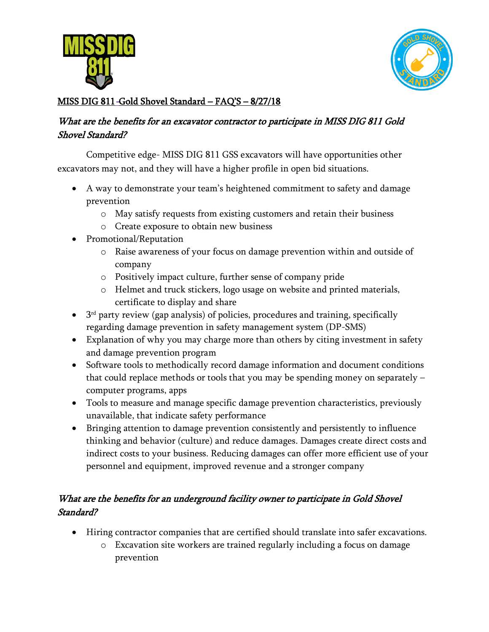



# MISS DIG 811-Gold Shovel Standard – FAQ'S – 8/27/18

### What are the benefits for an excavator contractor to participate in MISS DIG 811 Gold Shovel Standard?

Competitive edge- MISS DIG 811 GSS excavators will have opportunities other excavators may not, and they will have a higher profile in open bid situations.

- A way to demonstrate your team's heightened commitment to safety and damage prevention
	- o May satisfy requests from existing customers and retain their business
	- o Create exposure to obtain new business
- Promotional/Reputation
	- o Raise awareness of your focus on damage prevention within and outside of company
	- o Positively impact culture, further sense of company pride
	- o Helmet and truck stickers, logo usage on website and printed materials, certificate to display and share
- 3 rd party review (gap analysis) of policies, procedures and training, specifically regarding damage prevention in safety management system (DP-SMS)
- Explanation of why you may charge more than others by citing investment in safety and damage prevention program
- Software tools to methodically record damage information and document conditions that could replace methods or tools that you may be spending money on separately – computer programs, apps
- Tools to measure and manage specific damage prevention characteristics, previously unavailable, that indicate safety performance
- Bringing attention to damage prevention consistently and persistently to influence thinking and behavior (culture) and reduce damages. Damages create direct costs and indirect costs to your business. Reducing damages can offer more efficient use of your personnel and equipment, improved revenue and a stronger company

## What are the benefits for an underground facility owner to participate in Gold Shovel Standard?

- Hiring contractor companies that are certified should translate into safer excavations.
	- $\circ$  Excavation site workers are trained regularly including a focus on damage prevention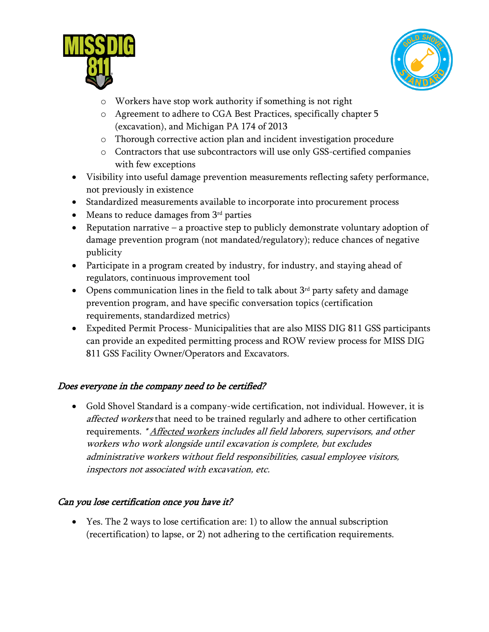



- o Workers have stop work authority if something is not right
- o Agreement to adhere to CGA Best Practices, specifically chapter 5 (excavation), and Michigan PA 174 of 2013
- o Thorough corrective action plan and incident investigation procedure
- o Contractors that use subcontractors will use only GSS-certified companies with few exceptions
- Visibility into useful damage prevention measurements reflecting safety performance, not previously in existence
- Standardized measurements available to incorporate into procurement process
- Means to reduce damages from  $3<sup>rd</sup>$  parties
- Reputation narrative a proactive step to publicly demonstrate voluntary adoption of damage prevention program (not mandated/regulatory); reduce chances of negative publicity
- Participate in a program created by industry, for industry, and staying ahead of regulators, continuous improvement tool
- Opens communication lines in the field to talk about  $3<sup>rd</sup>$  party safety and damage prevention program, and have specific conversation topics (certification requirements, standardized metrics)
- Expedited Permit Process- Municipalities that are also MISS DIG 811 GSS participants can provide an expedited permitting process and ROW review process for MISS DIG 811 GSS Facility Owner/Operators and Excavators.

### Does everyone in the company need to be certified?

• Gold Shovel Standard is a company-wide certification, not individual. However, it is affected workers that need to be trained regularly and adhere to other certification requirements. \* Affected workers includes all field laborers, supervisors, and other workers who work alongside until excavation is complete, but excludes administrative workers without field responsibilities, casual employee visitors, inspectors not associated with excavation, etc.

### Can you lose certification once you have it?

• Yes. The 2 ways to lose certification are: 1) to allow the annual subscription (recertification) to lapse, or 2) not adhering to the certification requirements.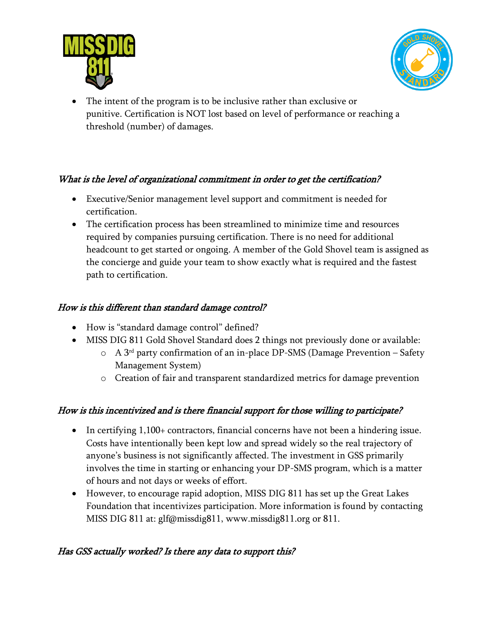



• The intent of the program is to be inclusive rather than exclusive or punitive. Certification is NOT lost based on level of performance or reaching a threshold (number) of damages.

### What is the level of organizational commitment in order to get the certification?

- Executive/Senior management level support and commitment is needed for certification.
- The certification process has been streamlined to minimize time and resources required by companies pursuing certification. There is no need for additional headcount to get started or ongoing. A member of the Gold Shovel team is assigned as the concierge and guide your team to show exactly what is required and the fastest path to certification.

### How is this different than standard damage control?

- How is "standard damage control" defined?
- MISS DIG 811 Gold Shovel Standard does 2 things not previously done or available:
	- $\circ$  A 3<sup>rd</sup> party confirmation of an in-place DP-SMS (Damage Prevention Safety Management System)
	- o Creation of fair and transparent standardized metrics for damage prevention

### How is this incentivized and is there financial support for those willing to participate?

- In certifying 1,100+ contractors, financial concerns have not been a hindering issue. Costs have intentionally been kept low and spread widely so the real trajectory of anyone's business is not significantly affected. The investment in GSS primarily involves the time in starting or enhancing your DP-SMS program, which is a matter of hours and not days or weeks of effort.
- However, to encourage rapid adoption, MISS DIG 811 has set up the Great Lakes Foundation that incentivizes participation. More information is found by contacting MISS DIG 811 at: glf@missdig811, www.missdig811.org or 811.

### Has GSS actually worked? Is there any data to support this?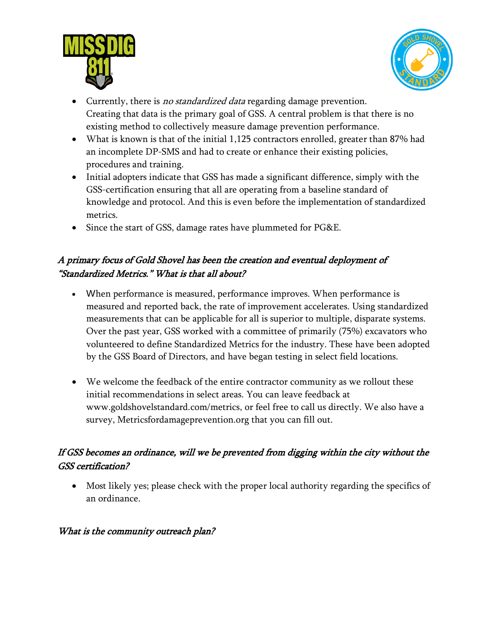



- Currently, there is *no standardized data* regarding damage prevention. Creating that data is the primary goal of GSS. A central problem is that there is no existing method to collectively measure damage prevention performance.
- What is known is that of the initial 1,125 contractors enrolled, greater than 87% had an incomplete DP-SMS and had to create or enhance their existing policies, procedures and training.
- Initial adopters indicate that GSS has made a significant difference, simply with the GSS-certification ensuring that all are operating from a baseline standard of knowledge and protocol. And this is even before the implementation of standardized metrics.
- Since the start of GSS, damage rates have plummeted for PG&E.

## A primary focus of Gold Shovel has been the creation and eventual deployment of "Standardized Metrics." What is that all about?

- When performance is measured, performance improves. When performance is measured and reported back, the rate of improvement accelerates. Using standardized measurements that can be applicable for all is superior to multiple, disparate systems. Over the past year, GSS worked with a committee of primarily (75%) excavators who volunteered to define Standardized Metrics for the industry. These have been adopted by the GSS Board of Directors, and have began testing in select field locations.
- We welcome the feedback of the entire contractor community as we rollout these initial recommendations in select areas. You can leave feedback at [www.goldshovelstandard.com/metrics,](http://www.goldshovelstandard.com/metrics) or feel free to call us directly. We also have a survey, Metricsfordamageprevention.org that you can fill out.

# If GSS becomes an ordinance, will we be prevented from digging within the city without the GSS certification?

• Most likely yes; please check with the proper local authority regarding the specifics of an ordinance.

### What is the community outreach plan?